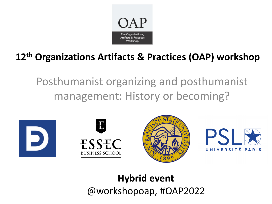

# **12th Organizations Artifacts & Practices (OAP) workshop**

Posthumanist organizing and posthumanist management: History or becoming?









# **Hybrid event** @workshopoap, #OAP2022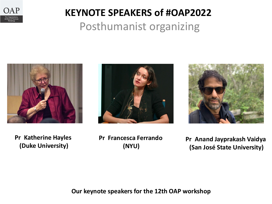

# **KEYNOTE SPEAKERS of #OAP2022** Posthumanist organizing







**Pr Katherine Hayles (Duke University)**

**Pr Francesca Ferrando (NYU)**

**Pr Anand Jayprakash Vaidya (San José State University)**

**Our keynote speakers for the 12th OAP workshop**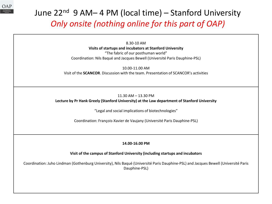

# June 22<sup>nd</sup> 9 AM– 4 PM (local time) – Stanford University *Only onsite (nothing online for this part of OAP)*

8.30-10 AM **Visits of startups and incubators at Stanford University** "The fabric of our posthuman world" Coordination: Nils Baqué and Jacques Bewell (Université Paris Dauphine-PSL)

10.00-11.00 AM Visit of the **SCANCOR**. Discussion with the team. Presentation of SCANCOR's activities

### 11.30 AM – 13.30 PM **Lecture by Pr Hank Greely (Stanford University) at the Law department of Stanford University**

"Legal and social implications of biotechnologies"

Coordination: François-Xavier de Vaujany (Université Paris Dauphine-PSL)

**14.00-16.00 PM** 

**Visit of the campus of Stanford University (including startups and incubators**

Coordination: Juho Lindman (Gothenburg University), Nils Baqué (Université Paris Dauphine-PSL) and Jacques Bewell (Université Paris Dauphine-PSL)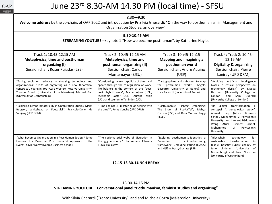

# June 23rd 8.30-AM 14.30 PM (local time) - SFSU

| Organization Studies: an overview"<br>9.30-10.45 AM                                                                                                                                                                                                                            |                                                                                                                                                                                                                                                                                                                                                                                                                        |                                                                                                                                                       |                                                                                                                                                                                                                                                                 |  |  |
|--------------------------------------------------------------------------------------------------------------------------------------------------------------------------------------------------------------------------------------------------------------------------------|------------------------------------------------------------------------------------------------------------------------------------------------------------------------------------------------------------------------------------------------------------------------------------------------------------------------------------------------------------------------------------------------------------------------|-------------------------------------------------------------------------------------------------------------------------------------------------------|-----------------------------------------------------------------------------------------------------------------------------------------------------------------------------------------------------------------------------------------------------------------|--|--|
|                                                                                                                                                                                                                                                                                | STREAMING YOUTUBE - keynote 1 "How we became posthuman", by Katherine Hayles                                                                                                                                                                                                                                                                                                                                           |                                                                                                                                                       |                                                                                                                                                                                                                                                                 |  |  |
| Track 1: 10.45-12.15 AM<br>Metaphysics, time and posthuman<br>organizing (I)<br>Session chair: Roser Pujadas (LSE)                                                                                                                                                             | Track 2: 10.45-12.15 AM<br><b>Metaphysics, time and</b><br>posthuman organizing (II)<br>Session chair: Carlos<br>Montemayor (SJSU)                                                                                                                                                                                                                                                                                     | Track 3: 10h45-12h15<br><b>Mapping and imagining a</b><br>posthuman world<br>Session chair: André Aquino<br>(USP)                                     | Track 4: Track 2: 10.45-<br>12.15 AM<br><b>Digitality &amp; organizing</b><br>Session chair: Pierre<br>Laniray (UPD DRM)                                                                                                                                        |  |  |
| "Taking evolution seriously in studying technology and<br>organizations: "DNA" of organizing as a new theoretical<br>construct", Youngjin Yoo (Case Western Reserve University),<br>Thomas Grisold (University of Liechtenstein), Michael Gau<br>(University of Liechtenstein) | "Cartographies and rhizomes to map<br>"Considering the micro-politics of times and<br>spaces through the re-regulation of work-<br>posthuman work", Angelo<br>the<br>life balance in the context of the "post-<br>Gasparre (University of Genoa) and<br>covid hybrid work", Michel Ajzen (UCL),<br>Luca Pareschi (university of Rome)<br>Stéphanie Coster (UCL), Laurent Taskin<br>(UCL) and Laurianne Terlinden (UCL) |                                                                                                                                                       | "Avoiding Artificial Intelligence<br>biases: a critical perspective on<br>technology design" by Magda<br>Hercheui (University College of<br>and Sam Guerard<br>London)<br>(University College of London)                                                        |  |  |
| "Exploring Temporomateriality in Organization Studies: Marx,<br>Bergson, Whitehead or Foucault?", François-Xavier de<br>Vaujany (UPD DRM)                                                                                                                                      | "Time against us: mastering or dealing with<br>"Posthumanist Hashtag Organizing:<br>the time?", Rémy Conche (UPD DRM)<br>The Story of #LetUsTal", Mahya<br>Ostovar (PSB) and Reza Mousavi Baygi<br>(IESEG)                                                                                                                                                                                                             |                                                                                                                                                       | "IIs<br>digital<br>transformation a<br>concept? A genealogical study",<br>Ahmed Iraqi (Africa Business<br>School, Mohammed VI Polytechnic<br>University) and Laurent Béduneau-<br>Wang (Africa Business School,<br>Mohammed<br>VI<br>Polytechnic<br>University) |  |  |
| "What Becomes Organization in a Post Human Society? Some<br>Lessons of a Deleuzian Post Humanist Approach of the<br>Event", Xavier Deroy (Neoma Business School)                                                                                                               | "The sociomaterial webs of disruption in<br>the gig economy", by Amany Elbanna<br>(Royal Holloway)                                                                                                                                                                                                                                                                                                                     | "Exploring posthumanist identities: a<br><b>Deleuzian</b><br>animal-becoming<br>framework" Géraldine Paring (ESSCA)<br>and Hélène Bussy-Socrate (PSB) | "Blockchain<br>technology<br>for<br>transformation<br>sustainable<br>in<br>textile industry supply chain", by<br>Juho Lindman (University<br>0f<br>Gothenburg) and Livia Norstrom<br>(University of Gothenburg)                                                 |  |  |
|                                                                                                                                                                                                                                                                                | 12.15-13.30. LUNCH BREAK                                                                                                                                                                                                                                                                                                                                                                                               |                                                                                                                                                       |                                                                                                                                                                                                                                                                 |  |  |
|                                                                                                                                                                                                                                                                                |                                                                                                                                                                                                                                                                                                                                                                                                                        |                                                                                                                                                       |                                                                                                                                                                                                                                                                 |  |  |
|                                                                                                                                                                                                                                                                                | 13.00-14.15 PM<br>STREAMING YOUTUBE - Conversational panel "Pothumanism, feminist studies and organizing"                                                                                                                                                                                                                                                                                                              |                                                                                                                                                       |                                                                                                                                                                                                                                                                 |  |  |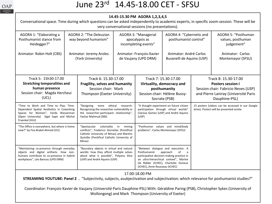

## June 23rd 14.45-18.00 CET - SFSU

#### **14.45-15.30 PM AGORA 1,2,3,4,5**

Conversational space. Time during which questions can be asked independently to academic experts, in specific zoom session. These will be very conversational sessions (no presentations).

| AGORA 1: "Elaborating a<br>Posthumanist stance from<br>Heidegger?"                                                                                                                     | AGORA 2: "The Deleuzian<br>way beyond humanism" |                                                                                                                                                                                                                                                                                                                                                                                                             | AGORA 3: "Managerial<br>apocalypsis as<br>incompleting events" |                                                                                                                                    | AGORA 4: "Cybernetic and<br>posthumanist control"   |                                                                                               | AGORA 5: "Posthuman<br>values, posthuman<br>judgement" |
|----------------------------------------------------------------------------------------------------------------------------------------------------------------------------------------|-------------------------------------------------|-------------------------------------------------------------------------------------------------------------------------------------------------------------------------------------------------------------------------------------------------------------------------------------------------------------------------------------------------------------------------------------------------------------|----------------------------------------------------------------|------------------------------------------------------------------------------------------------------------------------------------|-----------------------------------------------------|-----------------------------------------------------------------------------------------------|--------------------------------------------------------|
| Animator: Robin Holt (CBS)                                                                                                                                                             |                                                 | Animator: Jeremy Aroles<br>(York University)                                                                                                                                                                                                                                                                                                                                                                | Animator: François-Xavier<br>de Vaujany (UPD DRM)              |                                                                                                                                    | Animator: André Carlos<br>Busanelli de Aquino (USP) |                                                                                               | Animator: Carlos<br>Montemayor (SFSU)                  |
| Track 5: 15h30-17.00                                                                                                                                                                   | Track 6: 15.30-17.00                            |                                                                                                                                                                                                                                                                                                                                                                                                             |                                                                | Track 7: 15.30-17.00                                                                                                               |                                                     | Track 8: 15.30-17.00                                                                          |                                                        |
| <b>Stretching temporalities and</b>                                                                                                                                                    |                                                 | Fragility, selves and humanity                                                                                                                                                                                                                                                                                                                                                                              |                                                                | Virtuality, democracy and                                                                                                          |                                                     | <b>Posters session I</b>                                                                      |                                                        |
| human presence                                                                                                                                                                         |                                                 | Session chair: Mark                                                                                                                                                                                                                                                                                                                                                                                         |                                                                | posthumanity                                                                                                                       |                                                     | Session chair: Fabricio Neves (USP)                                                           |                                                        |
| Session chair: Magda Hercheui                                                                                                                                                          |                                                 | Thompson (Exeter University)                                                                                                                                                                                                                                                                                                                                                                                |                                                                | Session chair: Hélène Bussy-                                                                                                       |                                                     | and Pierre Laniray (Université Paris                                                          |                                                        |
| (UCL)                                                                                                                                                                                  |                                                 |                                                                                                                                                                                                                                                                                                                                                                                                             |                                                                | Socrate (PSB)                                                                                                                      |                                                     | Dauphine-PSL)                                                                                 |                                                        |
| "Time to Work and Time to Play: Time-<br>Dependent Spatial Aesthetics in Coworking<br>Spaces for Women", Varda Wasserman<br>(Open University) Sigal Sapir and Michal<br>Fraenkel (HUJ) |                                                 | ethical<br>"Designing<br>more<br>research:<br>Recognizing the researcher vulnerability in<br>the researcher-participant relationship",<br>Yashar Mahmud (SBS)                                                                                                                                                                                                                                               |                                                                | "A thought experiment on future citizen<br>participation through virtual worlds"<br>Clarisse Gomez (USP) and André Aquino<br>(USP) |                                                     | 15 posters (videos can be accessed in our Google<br>drive). Posters will be presented onsite. |                                                        |
| "The Office is everywhere, but where is home<br>now?" by Fiza Brakel-Ahmed (VU)                                                                                                        |                                                 | "Spectacular coloniality in mining<br>conflicts", Frederico Dornellas (Pontifical<br>Catholic University of Minas) and Martins<br>Quintão (Pontifical Catholic University of<br>Minas)                                                                                                                                                                                                                      |                                                                | "Posthuman values and mind/body<br>problems", Carlos Montemayor (SFSU)                                                             |                                                     |                                                                                               |                                                        |
| "Maintaining co-presence through everyday<br>objects and digital artifacts. How non-<br>humans contribute to co-presence in hybrid<br>workplaces", Léo Bancou (UPD DRM)                |                                                 | "Boundary objects in virtual and natural<br>"Between dialogue and execution: A<br>worlds: how they afford multiple selves<br>approach<br>Posthumanist<br>of<br>a<br>participative decision-making practice in<br>about what is possible", Polyana Silva<br>an ultra-hierarchical context", Marine<br>(USP) and André Aquino (USP)<br>De Ridder (ICHEC), Charlotte Durieux<br>(ICHEC), Anne Rousseau (ICHEC) |                                                                |                                                                                                                                    |                                                     |                                                                                               |                                                        |
| 17.00-18.00 PM                                                                                                                                                                         |                                                 |                                                                                                                                                                                                                                                                                                                                                                                                             |                                                                |                                                                                                                                    |                                                     |                                                                                               |                                                        |
| STREAMING YOUTUBE: Panel 2 . "Subjectivity, subjects, asubjectivation and subjectivation: which relevance for poshumanist studies?"                                                    |                                                 |                                                                                                                                                                                                                                                                                                                                                                                                             |                                                                |                                                                                                                                    |                                                     |                                                                                               |                                                        |
| Coordinator: François-Xavier de Vaujany (Université Paris Dauphine-PSL) With: Géraldine Paring (PSB), Christopher Sykes (University of                                                 |                                                 |                                                                                                                                                                                                                                                                                                                                                                                                             |                                                                |                                                                                                                                    |                                                     |                                                                                               |                                                        |
| Wollongong) and Mark Thompson (University of Exeter)                                                                                                                                   |                                                 |                                                                                                                                                                                                                                                                                                                                                                                                             |                                                                |                                                                                                                                    |                                                     |                                                                                               |                                                        |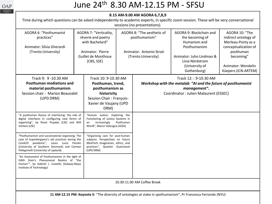

## June 24th 8.30 AM-12.15 PM - SFSU

#### **8.15 AM-9.00 AM AGORA 6,7,8,9**

Time during which questions can be asked independently to academic experts, in specific zoom session. These will be very conversational sessions (no presentations).

| AGORA 6: "Posthumanist<br>practices"<br>Animator: Silvia Gherardi<br>(Trento University)                                                                                                                                                 | AGORA 7: "Verticality,<br>rêverie and poetry<br>with Bachelard"<br>Animator: Pierre<br><b>Guillet de Monthoux</b><br>(CBS, SSE) |                                                                                                                                                        | AGORA 8: "The aesthetic of<br>posthumanism"<br>Animator: Antonio Strati<br>(Trento University) |  | AGORA 9: Blockchain and<br>the becoming of<br>Humanism and<br>Posthumanism<br>Animator: Juho Lindman &                                         | AGORA 10: "The<br>indirect ontology of<br>Merleau-Ponty as a<br>conceptualization of<br>posthuman<br>becoming" |
|------------------------------------------------------------------------------------------------------------------------------------------------------------------------------------------------------------------------------------------|---------------------------------------------------------------------------------------------------------------------------------|--------------------------------------------------------------------------------------------------------------------------------------------------------|------------------------------------------------------------------------------------------------|--|------------------------------------------------------------------------------------------------------------------------------------------------|----------------------------------------------------------------------------------------------------------------|
|                                                                                                                                                                                                                                          |                                                                                                                                 |                                                                                                                                                        |                                                                                                |  | Livia Nördstrom<br>(University of<br>Gothenburg)                                                                                               | Animator: Wendelin<br>Küepers (ICN-ARTEM)                                                                      |
| Track 9: 9 - 10.30 AM<br><b>Posthuman mediations and</b><br>material posthumanism<br>Session chair: Marion Beauvalet<br>(UPD DRM)                                                                                                        |                                                                                                                                 | Track 10: 9-10.30 AM<br>Posthuman, trend,<br>posthumanism as<br>historicity<br><b>Session Chair: François-</b><br>Xavier de Vaujany (UPD<br>DRM)       |                                                                                                |  | Track 12:: 9-10.30 AM<br>Workshop with the metalab "AI and the future of posthumanist<br>management".<br>Coordinator: Julien Malaurent (ESSEC) |                                                                                                                |
| "A posthuman theory of interfacing: the role of<br>digital interfaces in configuring new forms of<br>organizing", by Roser Pujadas (LSE) and Will<br>Venters (LSE)                                                                       |                                                                                                                                 | "Human Justice: Exploring the<br>Functioning of Justice Systems in<br>Increasingly<br>an<br>World", Marco Velicogna (IGSG)                             | Posthuman                                                                                      |  |                                                                                                                                                |                                                                                                                |
| "Posthumanism and sociomaterial organising. The<br>case of Superbergamo's aid practices during the<br>pandemic", Laura Lucia Parolin<br>Covid19<br>(University of Southern Denmark) and Carmen<br>Pellegrinelli (University of Lapland). |                                                                                                                                 | "Organizing care for post-human<br>subjects: Perspectives on future<br>MedTech imaginaries, ethics, and<br>practices", Quentin Guennissel<br>(UPD DRM) |                                                                                                |  |                                                                                                                                                |                                                                                                                |
| "An Assessment of Posthumanism in the light of<br>Edith Stein's Phenomenal Realms of "the<br>Human"", by Gabriel J. Costello (Galway-Mayo<br>Institute of Technology)                                                                    |                                                                                                                                 |                                                                                                                                                        |                                                                                                |  |                                                                                                                                                |                                                                                                                |
| 10.30-11.00 AM Coffee Break                                                                                                                                                                                                              |                                                                                                                                 |                                                                                                                                                        |                                                                                                |  |                                                                                                                                                |                                                                                                                |
| 11 AM-12.15 PM: Keynote II: "The diversity of ontologies at stake in spothumanism", Pr Francesca Ferrando (NYU)                                                                                                                          |                                                                                                                                 |                                                                                                                                                        |                                                                                                |  |                                                                                                                                                |                                                                                                                |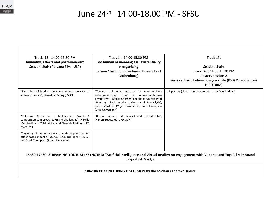

# June 24th 14.00-18.00 PM - SFSU

| Track 13: 14.00-15.30 PM<br>Animality, affects and posthumanism<br>Session chair: Polyana Silva (USP)                                                                         | Track 14: 14.00-15.30 PM<br>Too human or meaningless: existentiality<br>in organizing<br>Session Chair: Juho Lindman (University of<br>Gothenburg)                                                                                                                                                             | Track 15:<br>Session chair:<br>Track 16:: 14.00-15.30 PM<br><b>Posters session 2</b><br>Session chair : Hélène Bussy-Socrate (PSB) & Léo Bancou<br>(UPD DRM) |  |  |  |
|-------------------------------------------------------------------------------------------------------------------------------------------------------------------------------|----------------------------------------------------------------------------------------------------------------------------------------------------------------------------------------------------------------------------------------------------------------------------------------------------------------|--------------------------------------------------------------------------------------------------------------------------------------------------------------|--|--|--|
| "The ethics of biodiversity management: the case of<br>wolves in France", Géraldine Paring (ESSCA)                                                                            | "Towards relational practices of world-making:<br>entrepreneurship<br>from<br>more-than-human<br>$\overline{a}$<br>perspective", Boukje Cnossen (Leuphana University of<br>Lüneburg), Paul Lassalle (University of Strathclyde),<br>Karen Verduijn (Vrije Universiteit), Neil Thompson<br>(Vrije Universiteit) | 15 posters (videos can be accessed in our Google drive)                                                                                                      |  |  |  |
| "Collective Action for a Multispecies World: A<br>compositionist approach to Grand Challenges", Mireille<br>Mercier-Roy (HEC Montréal) and Chantale Mailhot (HEC<br>Montréal) | "Beyond human: data analyst and bullshit jobs",<br>Marion Beauvalet (UPD DRM)                                                                                                                                                                                                                                  |                                                                                                                                                              |  |  |  |
| "Engaging with emotions in sociomaterial practices: An<br>affect-based model of agency" Edouard Pignot (EMLV)<br>and Mark Thompson (Exeter University)                        |                                                                                                                                                                                                                                                                                                                |                                                                                                                                                              |  |  |  |
| 15h30-17h30: STREAMING YOUTUBE: KEYNOTE 3: "Artificial Intelligence and Virtual Reality: An engagement with Vedanta and Yoga", by Pr Anand<br>Jayprakash Vaidya               |                                                                                                                                                                                                                                                                                                                |                                                                                                                                                              |  |  |  |
| 18h-18h30: CONCLUDING DISCUSSION by the co-chairs and two guests                                                                                                              |                                                                                                                                                                                                                                                                                                                |                                                                                                                                                              |  |  |  |